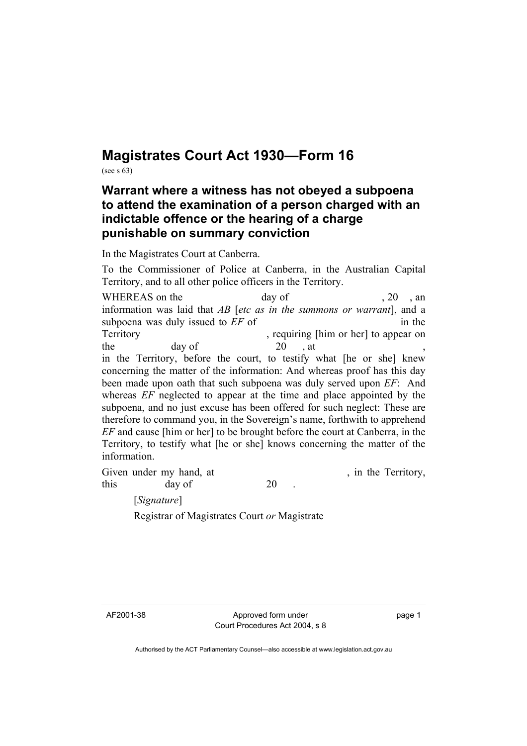## **Magistrates Court Act 1930—Form 16**

(see s 63)

## **Warrant where a witness has not obeyed a subpoena to attend the examination of a person charged with an indictable offence or the hearing of a charge punishable on summary conviction**

In the Magistrates Court at Canberra.

To the Commissioner of Police at Canberra, in the Australian Capital Territory, and to all other police officers in the Territory.

WHEREAS on the day of 30 , 20 , an information was laid that *AB* [*etc as in the summons or warrant*], and a subpoena was duly issued to *EF* of in the Territory , requiring [him or her] to appear on the day of  $20$ , at , in the Territory, before the court, to testify what [he or she] knew concerning the matter of the information: And whereas proof has this day been made upon oath that such subpoena was duly served upon *EF*: And whereas *EF* neglected to appear at the time and place appointed by the subpoena, and no just excuse has been offered for such neglect: These are therefore to command you, in the Sovereign's name, forthwith to apprehend *EF* and cause [him or her] to be brought before the court at Canberra, in the Territory, to testify what [he or she] knows concerning the matter of the information.

Given under my hand, at , in the Territory, this day of 20

[*Signature*]

Registrar of Magistrates Court *or* Magistrate

AF2001-38 Approved form under Court Procedures Act 2004, s 8 page 1

Authorised by the ACT Parliamentary Counsel—also accessible at www.legislation.act.gov.au